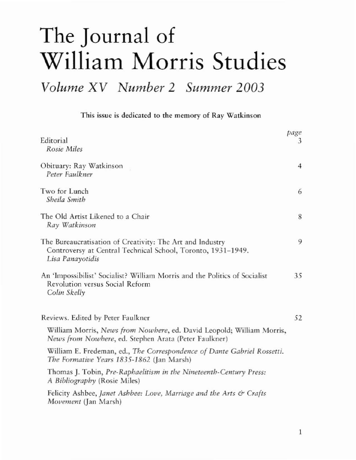## **The Journal of William Morris Studies**

*Volume XV Number* 2 *Summer 2003*

**This issue is dedicated to (he memory of Ray \Vatkinson**

| Editorial<br>Rosie Miles                                                                                                                      | page<br>3      |
|-----------------------------------------------------------------------------------------------------------------------------------------------|----------------|
| Obituary: Ray Watkinson<br>Peter Faulkner                                                                                                     | $\overline{4}$ |
| Two for Lunch<br>Sheila Smith                                                                                                                 | 6              |
| The Old Artist Likened to a Chair<br>Ray Watkinson                                                                                            | 8              |
| The Bureaucratisation of Creativity: The Art and Industry<br>Controversy at Central Technical School, Toronto, 1931-1949.<br>Lisa Panayotidis | 9              |
| An 'Impossibilist' Socialist? William Morris and the Politics of Socialist<br>Revolution versus Social Reform<br>Colin Skelly                 | 35             |
| Reviews. Edited by Peter Faulkner                                                                                                             | 52             |
| William Morris, News from Nowhere, ed. David Leopold; William Morris,<br>News from Nowhere, ed. Stephen Arata (Peter Faulkner)                |                |
| William E. Fredeman, ed., The Correspondence of Dante Gabriel Rossetti.<br>The Formative Years 1835-1862 (Jan Marsh)                          |                |
| Thomas J. Tobin, Pre-Raphaelitism in the Nineteenth-Century Press:<br>A Bibliography (Rosie Miles)                                            |                |
| Felicity Ashbee, Janet Ashbee: Love, Marriage and the Arts & Crafts<br>Movement (Jan Marsh)                                                   |                |